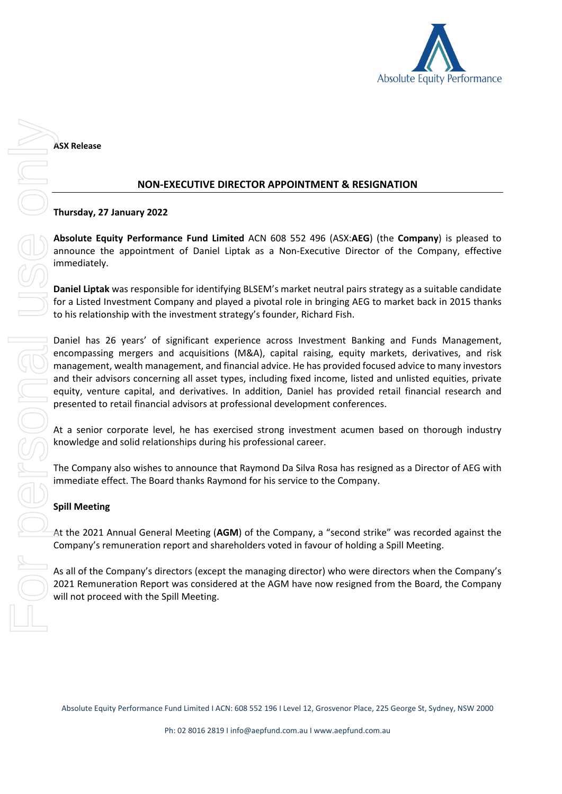

**ASX Release**

## **NON-EXECUTIVE DIRECTOR APPOINTMENT & RESIGNATION**

## **Thursday, 27 January 2022**

**Absolute Equity Performance Fund Limited** ACN 608 552 496 (ASX:**AEG**) (the **Company**) is pleased to announce the appointment of Daniel Liptak as a Non-Executive Director of the Company, effective immediately.

**Daniel Liptak** was responsible for identifying BLSEM's market neutral pairs strategy as a suitable candidate for a Listed Investment Company and played a pivotal role in bringing AEG to market back in 2015 thanks to his relationship with the investment strategy's founder, Richard Fish.

Daniel has 26 years' of significant experience across Investment Banking and Funds Management, encompassing mergers and acquisitions (M&A), capital raising, equity markets, derivatives, and risk management, wealth management, and financial advice. He has provided focused advice to many investors and their advisors concerning all asset types, including fixed income, listed and unlisted equities, private equity, venture capital, and derivatives. In addition, Daniel has provided retail financial research and presented to retail financial advisors at professional development conferences.

At a senior corporate level, he has exercised strong investment acumen based on thorough industry knowledge and solid relationships during his professional career.

The Company also wishes to announce that Raymond Da Silva Rosa has resigned as a Director of AEG with immediate effect. The Board thanks Raymond for his service to the Company.

## **Spill Meeting**

At the 2021 Annual General Meeting (**AGM**) of the Company, a "second strike" was recorded against the Company's remuneration report and shareholders voted in favour of holding a Spill Meeting.

As all of the Company's directors (except the managing director) who were directors when the Company's 2021 Remuneration Report was considered at the AGM have now resigned from the Board, the Company

Absolute Equity Performance Fund Limited I ACN: 608 552 196 I Level 12, Grosvenor Place, 225 George St, Sydney, NSW 2000